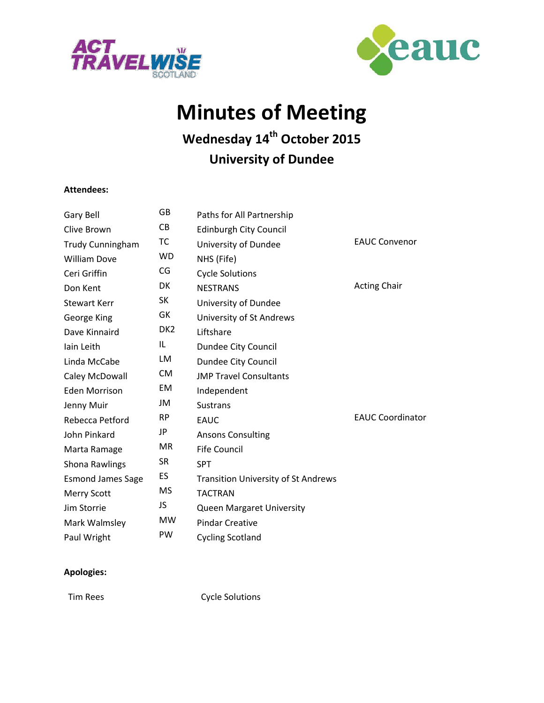



# **Minutes of Meeting**

## **Wednesday 14th October 2015 University of Dundee**

#### **Attendees:**

| Gary Bell                | GB              | Paths for All Partnership                  |                         |
|--------------------------|-----------------|--------------------------------------------|-------------------------|
| Clive Brown              | <b>CB</b>       | <b>Edinburgh City Council</b>              |                         |
| Trudy Cunningham         | ТC              | University of Dundee                       | <b>EAUC Convenor</b>    |
| <b>William Dove</b>      | <b>WD</b>       | NHS (Fife)                                 |                         |
| Ceri Griffin             | CG              | <b>Cycle Solutions</b>                     |                         |
| Don Kent                 | DK              | <b>NESTRANS</b>                            | <b>Acting Chair</b>     |
| <b>Stewart Kerr</b>      | <b>SK</b>       | University of Dundee                       |                         |
| George King              | GK              | University of St Andrews                   |                         |
| Dave Kinnaird            | DK <sub>2</sub> | Liftshare                                  |                         |
| lain Leith               | IL              | Dundee City Council                        |                         |
| Linda McCabe             | LM              | Dundee City Council                        |                         |
| Caley McDowall           | <b>CM</b>       | <b>JMP Travel Consultants</b>              |                         |
| <b>Eden Morrison</b>     | EM              | Independent                                |                         |
| Jenny Muir               | JM              | <b>Sustrans</b>                            |                         |
| Rebecca Petford          | <b>RP</b>       | <b>EAUC</b>                                | <b>EAUC Coordinator</b> |
| John Pinkard             | JP              | <b>Ansons Consulting</b>                   |                         |
| Marta Ramage             | <b>MR</b>       | <b>Fife Council</b>                        |                         |
| <b>Shona Rawlings</b>    | <b>SR</b>       | <b>SPT</b>                                 |                         |
| <b>Esmond James Sage</b> | <b>ES</b>       | <b>Transition University of St Andrews</b> |                         |
| <b>Merry Scott</b>       | <b>MS</b>       | <b>TACTRAN</b>                             |                         |
| Jim Storrie              | JS              | <b>Queen Margaret University</b>           |                         |
| Mark Walmsley            | <b>MW</b>       | <b>Pindar Creative</b>                     |                         |
| Paul Wright              | PW              | <b>Cycling Scotland</b>                    |                         |

#### **Apologies:**

Tim Rees Cycle Solutions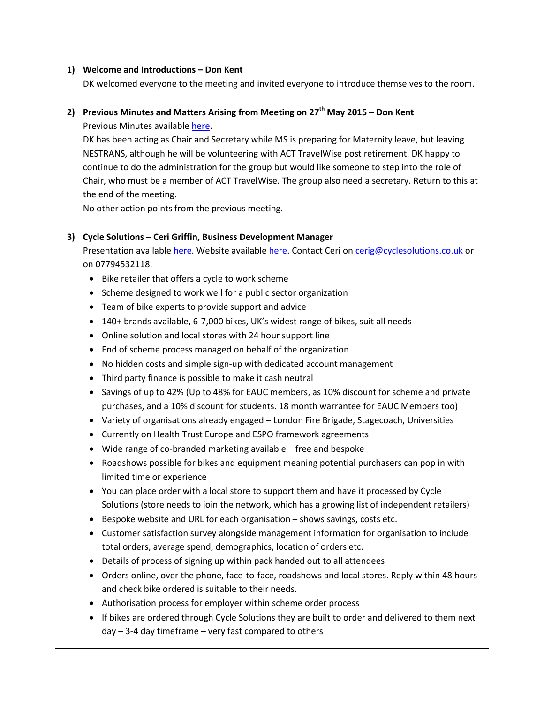#### **1) Welcome and Introductions – Don Kent**

DK welcomed everyone to the meeting and invited everyone to introduce themselves to the room.

#### **2) Previous Minutes and Matters Arising from Meeting on 27th May 2015 – Don Kent**

Previous Minutes availabl[e here.](http://www.eauc.org.uk/shop/mms_single_event.php?event_id=4289)

DK has been acting as Chair and Secretary while MS is preparing for Maternity leave, but leaving NESTRANS, although he will be volunteering with ACT TravelWise post retirement. DK happy to continue to do the administration for the group but would like someone to step into the role of Chair, who must be a member of ACT TravelWise. The group also need a secretary. Return to this at the end of the meeting.

No other action points from the previous meeting.

#### **3) Cycle Solutions – Ceri Griffin, Business Development Manager**

Presentation available [here.](http://www.sustainabilityexchange.ac.uk/travel_transport_tsn_and_act_travelwise_meeting) Website availabl[e here.](https://www.cyclesolutions.co.uk/) Contact Ceri on [cerig@cyclesolutions.co.uk](mailto:cerig@cyclesolutions.co.uk) or on 07794532118.

- Bike retailer that offers a cycle to work scheme
- Scheme designed to work well for a public sector organization
- Team of bike experts to provide support and advice
- 140+ brands available, 6-7,000 bikes, UK's widest range of bikes, suit all needs
- Online solution and local stores with 24 hour support line
- End of scheme process managed on behalf of the organization
- No hidden costs and simple sign-up with dedicated account management
- Third party finance is possible to make it cash neutral
- Savings of up to 42% (Up to 48% for EAUC members, as 10% discount for scheme and private purchases, and a 10% discount for students. 18 month warrantee for EAUC Members too)
- Variety of organisations already engaged London Fire Brigade, Stagecoach, Universities
- Currently on Health Trust Europe and ESPO framework agreements
- Wide range of co-branded marketing available free and bespoke
- Roadshows possible for bikes and equipment meaning potential purchasers can pop in with limited time or experience
- You can place order with a local store to support them and have it processed by Cycle Solutions (store needs to join the network, which has a growing list of independent retailers)
- Bespoke website and URL for each organisation shows savings, costs etc.
- Customer satisfaction survey alongside management information for organisation to include total orders, average spend, demographics, location of orders etc.
- Details of process of signing up within pack handed out to all attendees
- Orders online, over the phone, face-to-face, roadshows and local stores. Reply within 48 hours and check bike ordered is suitable to their needs.
- Authorisation process for employer within scheme order process
- If bikes are ordered through Cycle Solutions they are built to order and delivered to them next day – 3-4 day timeframe – very fast compared to others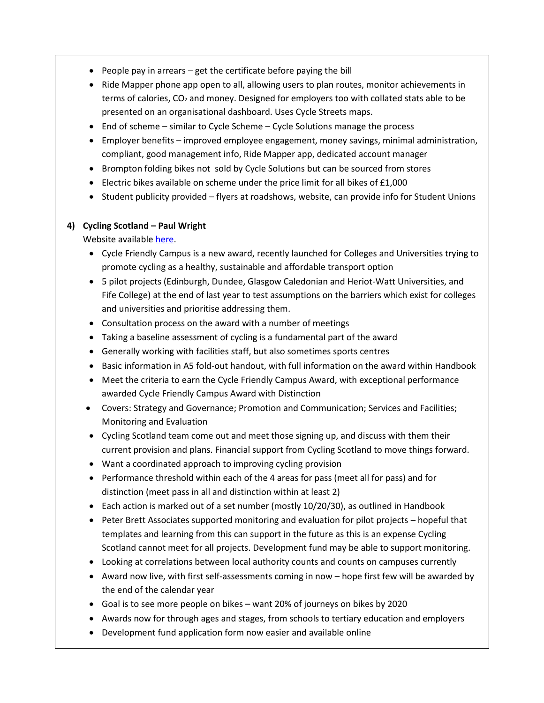- $\bullet$  People pay in arrears get the certificate before paying the bill
- Ride Mapper phone app open to all, allowing users to plan routes, monitor achievements in terms of calories, CO<sup>2</sup> and money. Designed for employers too with collated stats able to be presented on an organisational dashboard. Uses Cycle Streets maps.
- End of scheme similar to Cycle Scheme Cycle Solutions manage the process
- Employer benefits improved employee engagement, money savings, minimal administration, compliant, good management info, Ride Mapper app, dedicated account manager
- Brompton folding bikes not sold by Cycle Solutions but can be sourced from stores
- **Electric bikes available on scheme under the price limit for all bikes of**  $£1,000$
- Student publicity provided flyers at roadshows, website, can provide info for Student Unions

#### **4) Cycling Scotland – Paul Wright**

Website available [here.](http://www.cyclingscotland.org/our-projects/award-schemes/cycle-friendly-campus)

- Cycle Friendly Campus is a new award, recently launched for Colleges and Universities trying to promote cycling as a healthy, sustainable and affordable transport option
- 5 pilot projects (Edinburgh, Dundee, Glasgow Caledonian and Heriot-Watt Universities, and Fife College) at the end of last year to test assumptions on the barriers which exist for colleges and universities and prioritise addressing them.
- Consultation process on the award with a number of meetings
- Taking a baseline assessment of cycling is a fundamental part of the award
- Generally working with facilities staff, but also sometimes sports centres
- Basic information in A5 fold-out handout, with full information on the award within Handbook
- Meet the criteria to earn the Cycle Friendly Campus Award, with exceptional performance awarded Cycle Friendly Campus Award with Distinction
- Covers: Strategy and Governance; Promotion and Communication; Services and Facilities; Monitoring and Evaluation
- Cycling Scotland team come out and meet those signing up, and discuss with them their current provision and plans. Financial support from Cycling Scotland to move things forward.
- Want a coordinated approach to improving cycling provision
- Performance threshold within each of the 4 areas for pass (meet all for pass) and for distinction (meet pass in all and distinction within at least 2)
- Each action is marked out of a set number (mostly 10/20/30), as outlined in Handbook
- Peter Brett Associates supported monitoring and evaluation for pilot projects hopeful that templates and learning from this can support in the future as this is an expense Cycling Scotland cannot meet for all projects. Development fund may be able to support monitoring.
- Looking at correlations between local authority counts and counts on campuses currently
- Award now live, with first self-assessments coming in now hope first few will be awarded by the end of the calendar year
- Goal is to see more people on bikes want 20% of journeys on bikes by 2020
- Awards now for through ages and stages, from schools to tertiary education and employers
- Development fund application form now easier and available online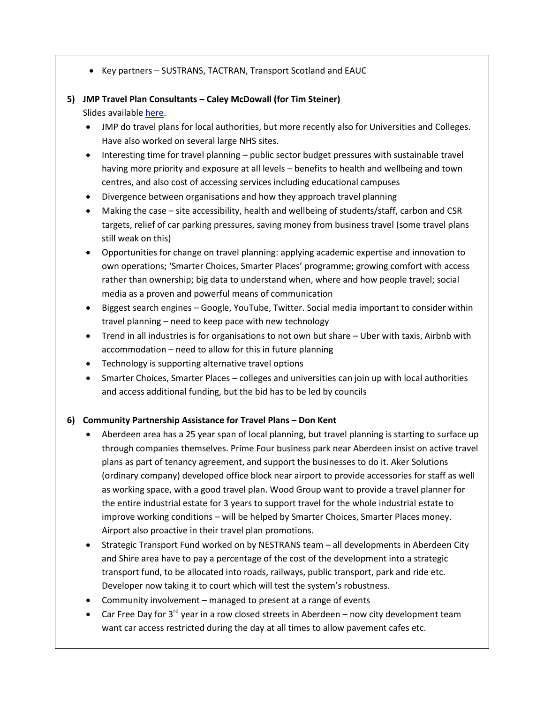Key partners – SUSTRANS, TACTRAN, Transport Scotland and EAUC

### **5) JMP Travel Plan Consultants – Caley McDowall (for Tim Steiner)**

Slides availabl[e here.](http://www.sustainabilityexchange.ac.uk/travel_transport_tsn_and_act_travelwise_meeting)

- JMP do travel plans for local authorities, but more recently also for Universities and Colleges. Have also worked on several large NHS sites.
- Interesting time for travel planning public sector budget pressures with sustainable travel having more priority and exposure at all levels – benefits to health and wellbeing and town centres, and also cost of accessing services including educational campuses
- Divergence between organisations and how they approach travel planning
- Making the case site accessibility, health and wellbeing of students/staff, carbon and CSR targets, relief of car parking pressures, saving money from business travel (some travel plans still weak on this)
- Opportunities for change on travel planning: applying academic expertise and innovation to own operations; 'Smarter Choices, Smarter Places' programme; growing comfort with access rather than ownership; big data to understand when, where and how people travel; social media as a proven and powerful means of communication
- Biggest search engines Google, YouTube, Twitter. Social media important to consider within travel planning – need to keep pace with new technology
- Trend in all industries is for organisations to not own but share Uber with taxis, Airbnb with accommodation – need to allow for this in future planning
- Technology is supporting alternative travel options
- Smarter Choices, Smarter Places colleges and universities can join up with local authorities and access additional funding, but the bid has to be led by councils

#### **6) Community Partnership Assistance for Travel Plans – Don Kent**

- Aberdeen area has a 25 year span of local planning, but travel planning is starting to surface up through companies themselves. Prime Four business park near Aberdeen insist on active travel plans as part of tenancy agreement, and support the businesses to do it. Aker Solutions (ordinary company) developed office block near airport to provide accessories for staff as well as working space, with a good travel plan. Wood Group want to provide a travel planner for the entire industrial estate for 3 years to support travel for the whole industrial estate to improve working conditions – will be helped by Smarter Choices, Smarter Places money. Airport also proactive in their travel plan promotions.
- Strategic Transport Fund worked on by NESTRANS team all developments in Aberdeen City and Shire area have to pay a percentage of the cost of the development into a strategic transport fund, to be allocated into roads, railways, public transport, park and ride etc. Developer now taking it to court which will test the system's robustness.
- Community involvement managed to present at a range of events
- Car Free Day for  $3^{rd}$  year in a row closed streets in Aberdeen now city development team want car access restricted during the day at all times to allow pavement cafes etc.